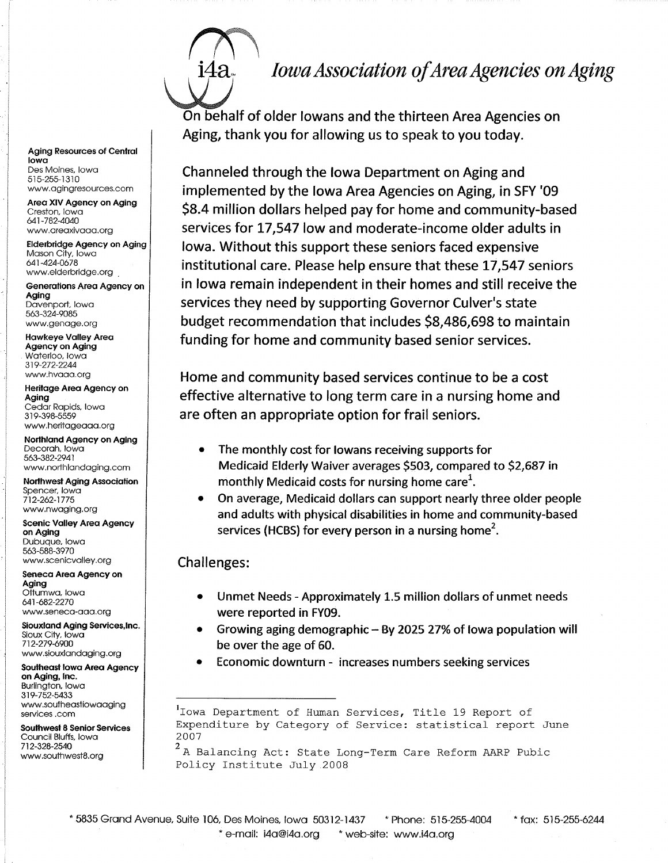## Iowa Association of Area Agencies on Aging

**Aging Resources of Central** lowo Des Moines, lowo 515-255-1310 www.agingresources.com

Area XIV Agency on Aging Creston, lowo 641-782-4040 www.areaxivaaa.org

Elderbridge Agency on Aging Mason City, Iowa 641-424-0678 www.elderbridge.org

Generations Area Agency on Aging Davenport, lowa 5ó3-324-9085 www.genoge.ofg

Howkeye Vofley Areq Agency on Aging Woterloo, lowo 319-272-2244 www.hvaaa.org

Heritage Area Agency on Aging Cedor Ropids, lowo 319-398-5559 www,heritogeooq.org

Northland Agency on Aging Decoroh. lowo 563-382-2941 www.northlqndoging.com

Northwest Aging Association Spencer, lowo 712-262-1775 www.nwaging.org

Scenic Valley Area Agency on Aging Dubuque, lowo 5ó3-588-3970 www.scenicvalley.org

Seneca Area Agency on Aging Offumwa, lowa 641-682-2270 www.seneco-ooq.org

Siouxland Aging Services, Inc. Sioux City, lowo 712-279-6900 www.siouxlandaging.org

Southeost lowo Areo Agency on Aging, Inc. Burlington, lowo 3r 9-752-5433 www.southeastiowaaging services.com

Southwest 8 Senior Services Council Bluffs, lowo 712-328-2544 www.southwest8.org

On behalf of older lowans and the thirteen Area Agencies on Aging, thank you for allowing us to speak to you today.

Channeled through the lowa Department on Aging and implemented by the Iowa Area Agencies on Aging, in SFY '09 \$8.4 million dollars helped pay for home and community-based services for 17,547 low and moderate-income older adults in lowa. Without this support these seniors faced expensive institutional care. Please help ensure that these 17,547 seniors in lowa remain independent in their homes and still receive the services they need by supporting Governor Culver's state budget recommendation that includes 58,486,698 to maintain funding for home and community based senior services.

Home and community based services continue to be a cost effective alternative to long term care in a nursing home and are often an appropriate option for frail seniors.

- The monthly cost for lowans receiving supports for Medicaid Elderly Waiver averages 5503, compared to 52,687 in monthly Medicaid costs for nursing home care<sup>1</sup>.
- On average, Medicaid dollars can support nearly three older people and adults with physical disabilities in home and community-based services (HCBS) for every person in a nursing home<sup>2</sup>.

## Challenges:

- Unmet Needs Approximately 1.5 million dollars of unmet needs were reported in FY09.
- Growing aging demographic By 2025 27% of lowa population will be over the age of 60.
- Economic downturn increases numbers seeking services

<sup>1</sup> Iowa Department of Human Services, Title 19 Report of Expenditure by Category of Service: statistical report June 2007

 $^2$  A Balancing Act: State Long-Term Care Reform AARP Pubic Policy Institute July 2008